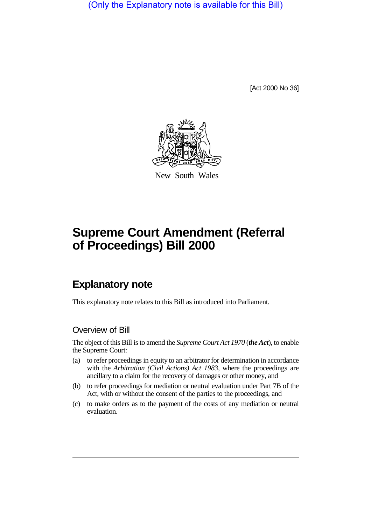(Only the Explanatory note is available for this Bill)

[Act 2000 No 36]



New South Wales

# **Supreme Court Amendment (Referral of Proceedings) Bill 2000**

## **Explanatory note**

This explanatory note relates to this Bill as introduced into Parliament.

#### Overview of Bill

The object of this Bill is to amend the *Supreme Court Act 1970* (*the Act*), to enable the Supreme Court:

- (a) to refer proceedings in equity to an arbitrator for determination in accordance with the *Arbitration (Civil Actions) Act 1983*, where the proceedings are ancillary to a claim for the recovery of damages or other money, and
- (b) to refer proceedings for mediation or neutral evaluation under Part 7B of the Act, with or without the consent of the parties to the proceedings, and
- (c) to make orders as to the payment of the costs of any mediation or neutral evaluation.